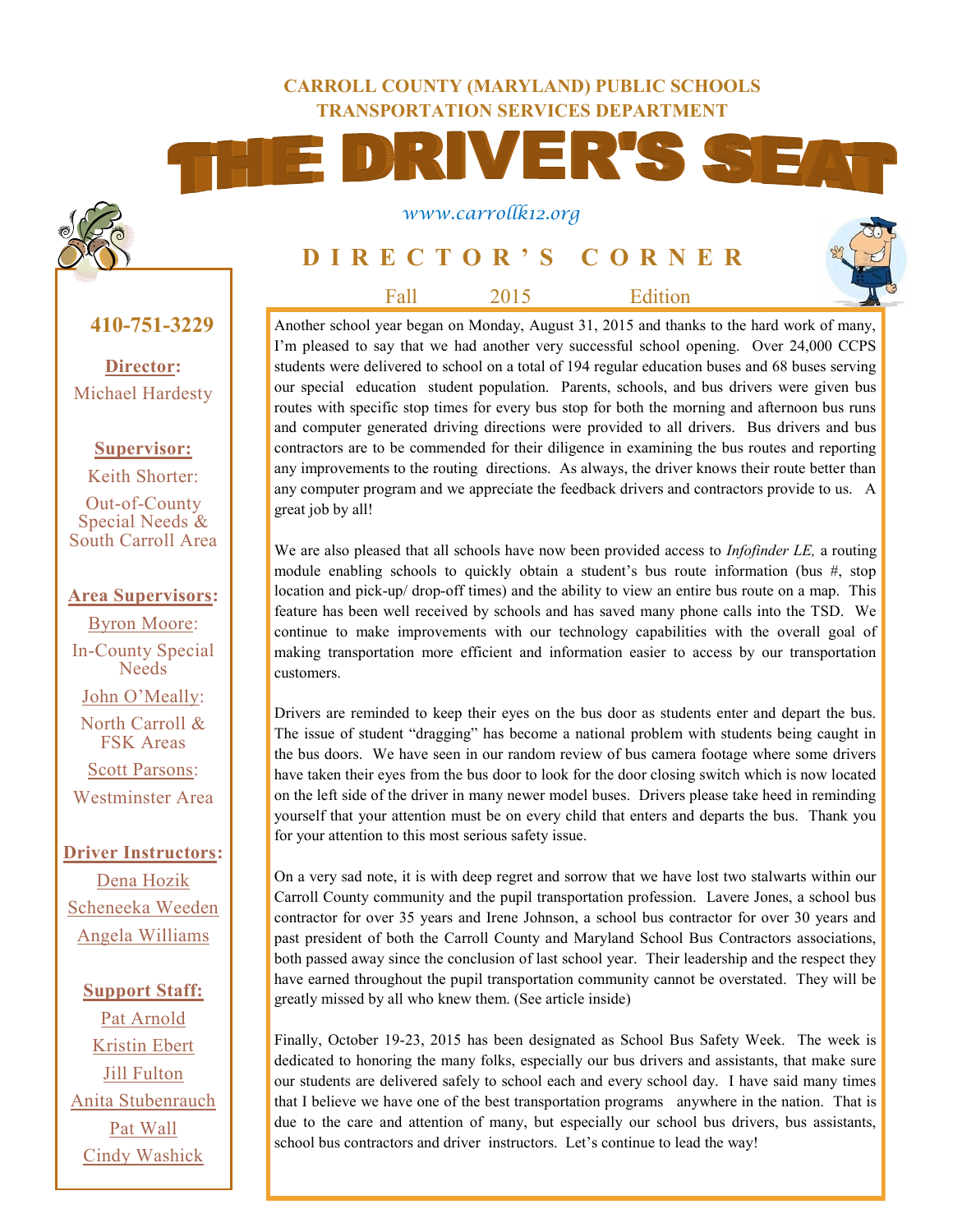#### **CARROLL COUNTY (MARYLAND) PUBLIC SCHOOLS TRANSPORTATION SERVICES DEPARTMENT**



#### *www.carrollk12.org*

# **D I R E C T O R ' S C O R N E R**

Fall 2015 Edition

**410-751-3229**

**Director:** Michael Hardesty

**Supervisor:**

Keith Shorter: Out-of-County Special Needs & South Carroll Area

#### **Area Supervisors:**

Byron Moore: In-County Special Needs John O'Meally: North Carroll & FSK Areas Scott Parsons: Westminster Area

**Driver Instructors:** Dena Hozik Scheneeka Weeden Angela Williams

**Support Staff:** Pat Arnold Kristin Ebert Jill Fulton Anita Stubenrauch Pat Wall Cindy Washick

Another school year began on Monday, August 31, 2015 and thanks to the hard work of many, I'm pleased to say that we had another very successful school opening. Over 24,000 CCPS students were delivered to school on a total of 194 regular education buses and 68 buses serving our special education student population. Parents, schools, and bus drivers were given bus routes with specific stop times for every bus stop for both the morning and afternoon bus runs and computer generated driving directions were provided to all drivers. Bus drivers and bus contractors are to be commended for their diligence in examining the bus routes and reporting any improvements to the routing directions. As always, the driver knows their route better than any computer program and we appreciate the feedback drivers and contractors provide to us. A great job by all!

We are also pleased that all schools have now been provided access to *Infofinder LE,* a routing module enabling schools to quickly obtain a student's bus route information (bus #, stop location and pick-up/ drop-off times) and the ability to view an entire bus route on a map. This feature has been well received by schools and has saved many phone calls into the TSD. We continue to make improvements with our technology capabilities with the overall goal of making transportation more efficient and information easier to access by our transportation customers.

Drivers are reminded to keep their eyes on the bus door as students enter and depart the bus. The issue of student "dragging" has become a national problem with students being caught in the bus doors. We have seen in our random review of bus camera footage where some drivers have taken their eyes from the bus door to look for the door closing switch which is now located on the left side of the driver in many newer model buses. Drivers please take heed in reminding yourself that your attention must be on every child that enters and departs the bus. Thank you for your attention to this most serious safety issue.

On a very sad note, it is with deep regret and sorrow that we have lost two stalwarts within our Carroll County community and the pupil transportation profession. Lavere Jones, a school bus contractor for over 35 years and Irene Johnson, a school bus contractor for over 30 years and past president of both the Carroll County and Maryland School Bus Contractors associations, both passed away since the conclusion of last school year. Their leadership and the respect they have earned throughout the pupil transportation community cannot be overstated. They will be greatly missed by all who knew them. (See article inside)

Finally, October 19-23, 2015 has been designated as School Bus Safety Week. The week is dedicated to honoring the many folks, especially our bus drivers and assistants, that make sure our students are delivered safely to school each and every school day. I have said many times that I believe we have one of the best transportation programs anywhere in the nation. That is due to the care and attention of many, but especially our school bus drivers, bus assistants, school bus contractors and driver instructors. Let's continue to lead the way!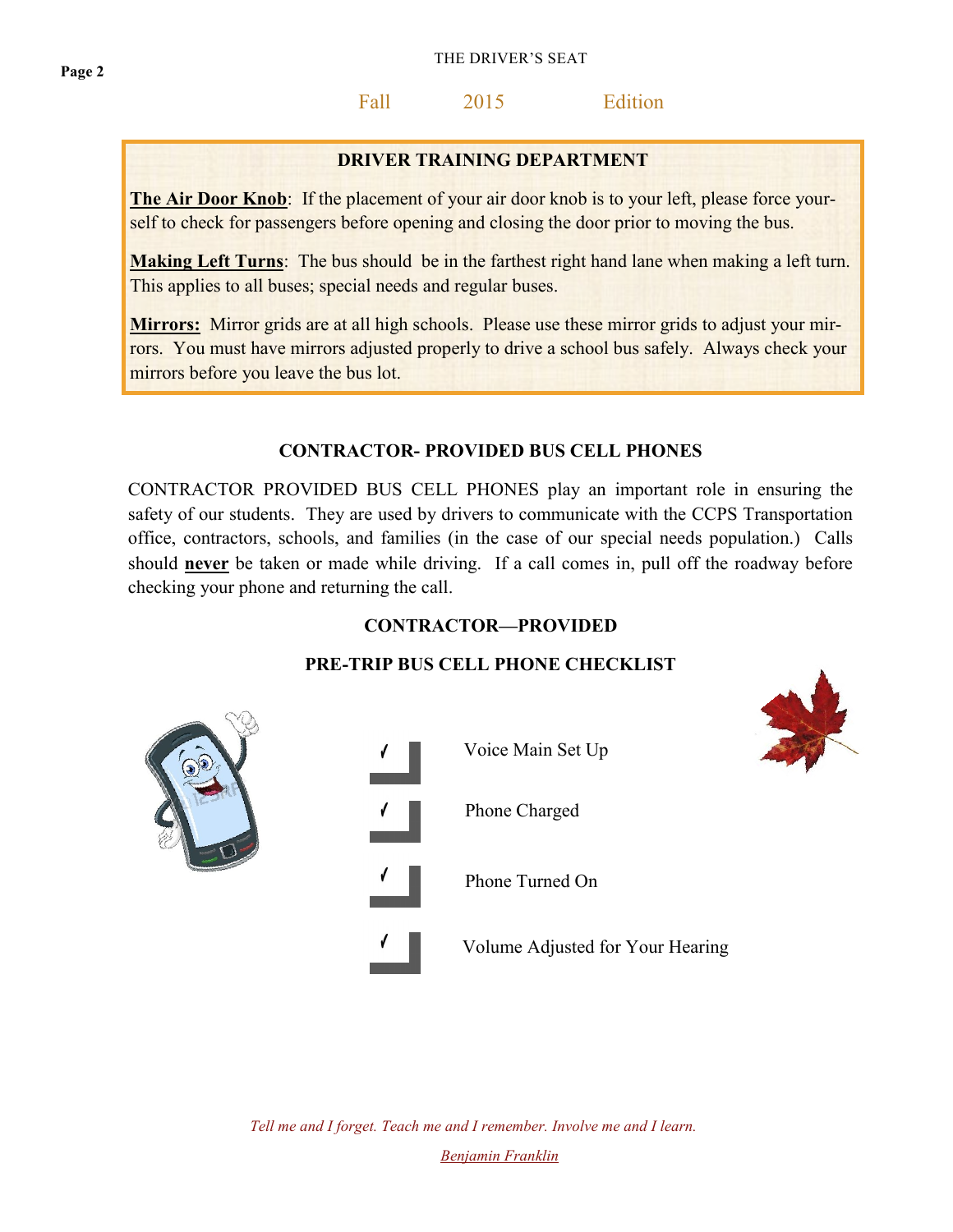# Fall 2015 Edition

## **DRIVER TRAINING DEPARTMENT**

**The Air Door Knob**: If the placement of your air door knob is to your left, please force yourself to check for passengers before opening and closing the door prior to moving the bus.

**Making Left Turns**: The bus should be in the farthest right hand lane when making a left turn. This applies to all buses; special needs and regular buses.

**Mirrors:** Mirror grids are at all high schools. Please use these mirror grids to adjust your mirrors. You must have mirrors adjusted properly to drive a school bus safely. Always check your mirrors before you leave the bus lot.

#### **CONTRACTOR- PROVIDED BUS CELL PHONES**

CONTRACTOR PROVIDED BUS CELL PHONES play an important role in ensuring the safety of our students. They are used by drivers to communicate with the CCPS Transportation office, contractors, schools, and families (in the case of our special needs population.) Calls should **never** be taken or made while driving. If a call comes in, pull off the roadway before checking your phone and returning the call.

#### **CONTRACTOR—PROVIDED**

## **PRE-TRIP BUS CELL PHONE CHECKLIST**



*Tell me and I forget. Teach me and I remember. Involve me and I learn. [Benjamin Franklin](http://www.brainyquote.com/quotes/authors/b/benjamin_franklin.html)*

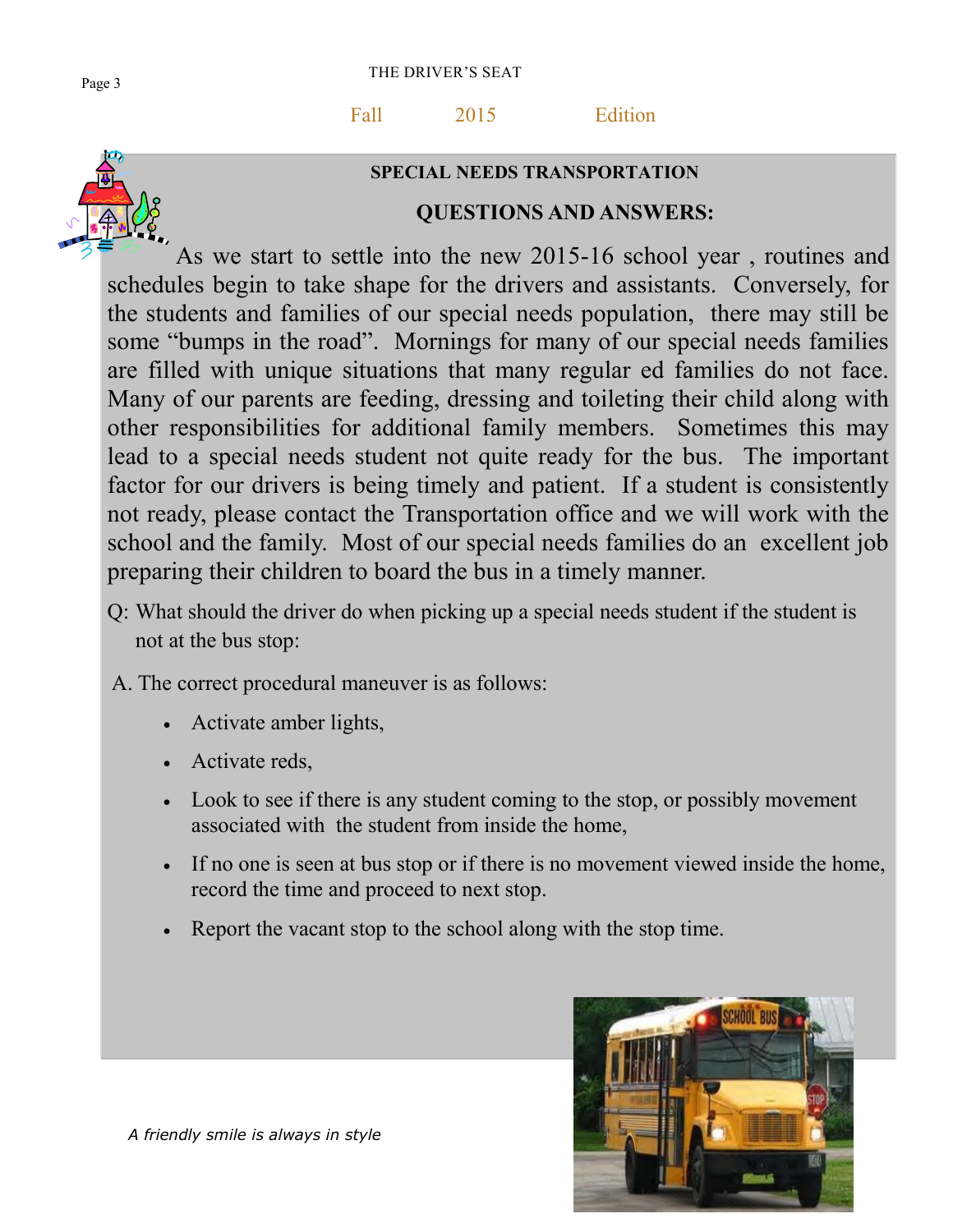Fall 2015 Edition



## **SPECIAL NEEDS TRANSPORTATION**

# **QUESTIONS AND ANSWERS:**

As we start to settle into the new 2015-16 school year , routines and schedules begin to take shape for the drivers and assistants. Conversely, for the students and families of our special needs population, there may still be some "bumps in the road". Mornings for many of our special needs families are filled with unique situations that many regular ed families do not face. Many of our parents are feeding, dressing and toileting their child along with other responsibilities for additional family members. Sometimes this may lead to a special needs student not quite ready for the bus. The important factor for our drivers is being timely and patient. If a student is consistently not ready, please contact the Transportation office and we will work with the school and the family. Most of our special needs families do an excellent job preparing their children to board the bus in a timely manner.

- Q: What should the driver do when picking up a special needs student if the student is not at the bus stop:
- A. The correct procedural maneuver is as follows:
	- Activate amber lights,
	- Activate reds,
	- Look to see if there is any student coming to the stop, or possibly movement associated with the student from inside the home,
	- If no one is seen at bus stop or if there is no movement viewed inside the home, record the time and proceed to next stop.
	- Report the vacant stop to the school along with the stop time.

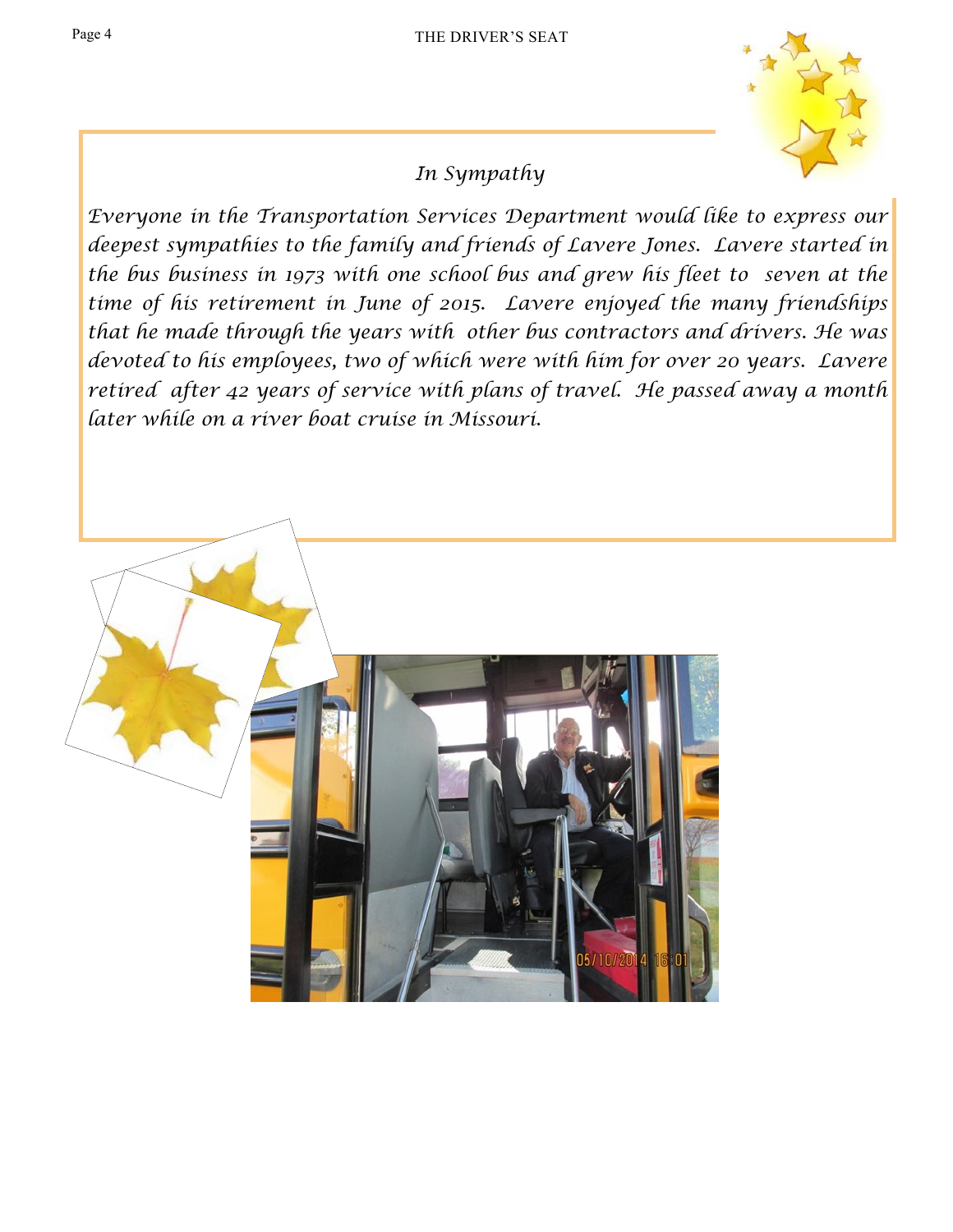

# *In Sympathy*

*Everyone in the Transportation Services Department would like to express our deepest sympathies to the family and friends of Lavere Jones. Lavere started in the bus business in 1973 with one school bus and grew his fleet to seven at the time of his retirement in June of 2015. Lavere enjoyed the many friendships that he made through the years with other bus contractors and drivers. He was devoted to his employees, two of which were with him for over 20 years. Lavere retired after 42 years of service with plans of travel. He passed away a month later while on a river boat cruise in Missouri.* 

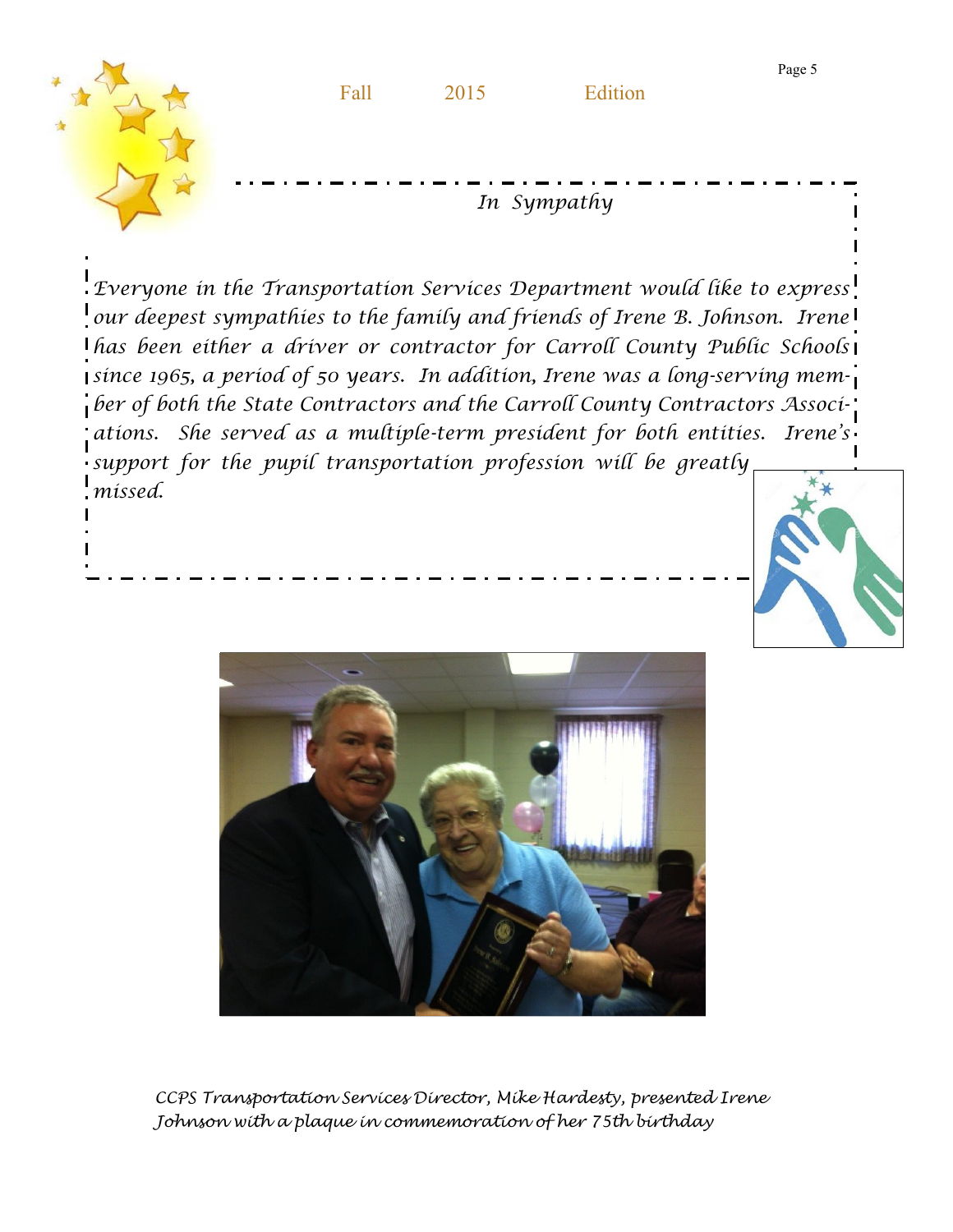

*Everyone in the Transportation Services Department would like to express our deepest sympathies to the family and friends of Irene B. Johnson. Irene has been either a driver or contractor for Carroll County Public Schools since 1965, a period of 50 years. In addition, Irene was a long-serving memper of both the State Contractors and the Carroll County Contractors Associations. She served as a multiple-term president for both entities. Irene's support for the pupil transportation profession will be greatly missed.* 





*CCPS Transportation Services Director, Mike Hardesty, presented Irene Johnson with a plaque in commemoration of her 75th birthday*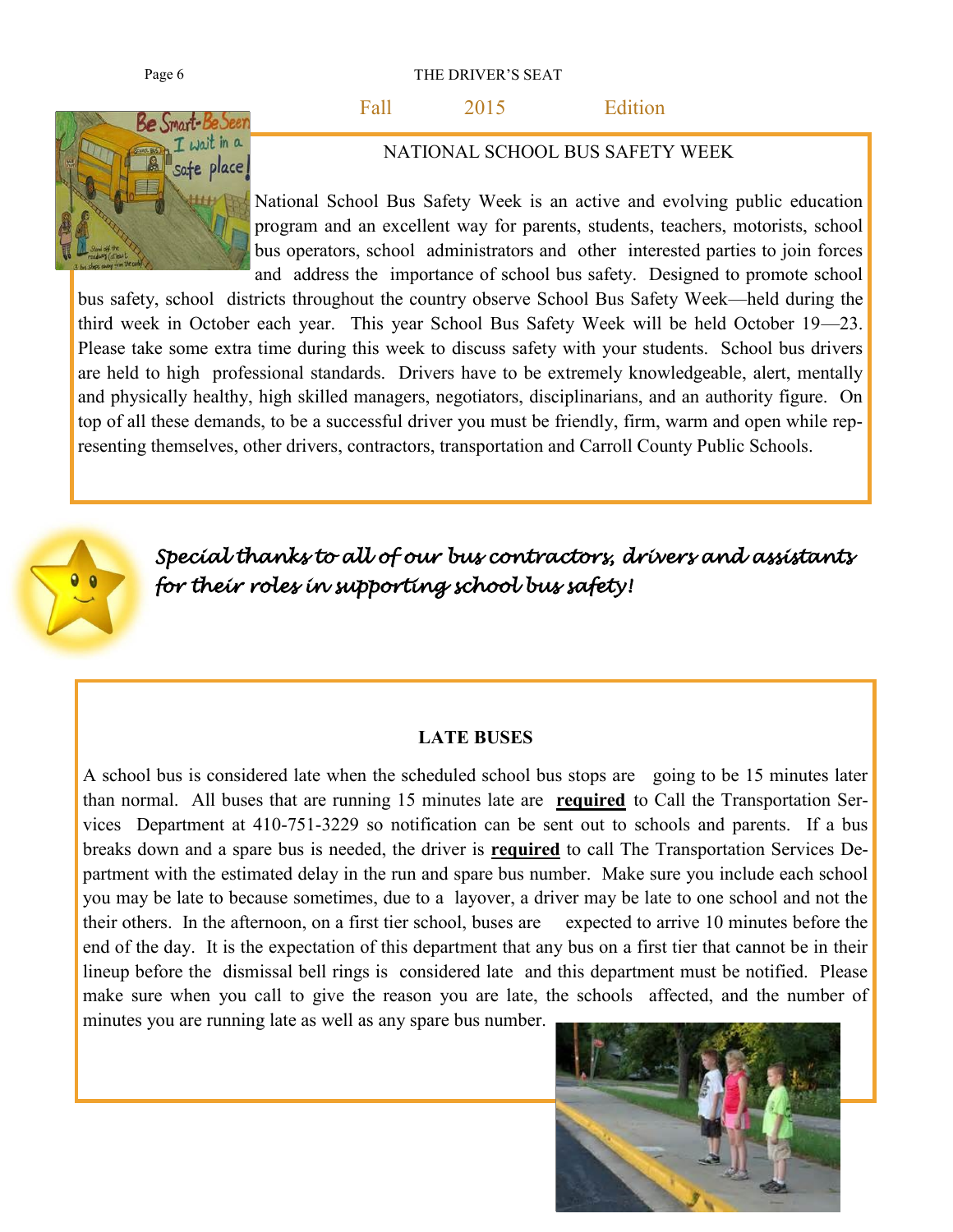Page 6 THE DRIVER'S SEAT

Fall 2015 Edition



NATIONAL SCHOOL BUS SAFETY WEEK

National School Bus Safety Week is an active and evolving public education program and an excellent way for parents, students, teachers, motorists, school bus operators, school administrators and other interested parties to join forces and address the importance of school bus safety. Designed to promote school

bus safety, school districts throughout the country observe School Bus Safety Week—held during the third week in October each year. This year School Bus Safety Week will be held October 19—23. Please take some extra time during this week to discuss safety with your students. School bus drivers are held to high professional standards. Drivers have to be extremely knowledgeable, alert, mentally and physically healthy, high skilled managers, negotiators, disciplinarians, and an authority figure. On top of all these demands, to be a successful driver you must be friendly, firm, warm and open while representing themselves, other drivers, contractors, transportation and Carroll County Public Schools.



*Special thanks to all of our bus contractors, drivers and assistants for their roles in supporting school bus safety!* 

#### **LATE BUSES**

A school bus is considered late when the scheduled school bus stops are going to be 15 minutes later than normal. All buses that are running 15 minutes late are **required** to Call the Transportation Services Department at 410-751-3229 so notification can be sent out to schools and parents. If a bus breaks down and a spare bus is needed, the driver is **required** to call The Transportation Services Department with the estimated delay in the run and spare bus number. Make sure you include each school you may be late to because sometimes, due to a layover, a driver may be late to one school and not the their others. In the afternoon, on a first tier school, buses are expected to arrive 10 minutes before the end of the day. It is the expectation of this department that any bus on a first tier that cannot be in their lineup before the dismissal bell rings is considered late and this department must be notified. Please make sure when you call to give the reason you are late, the schools affected, and the number of minutes you are running late as well as any spare bus number.

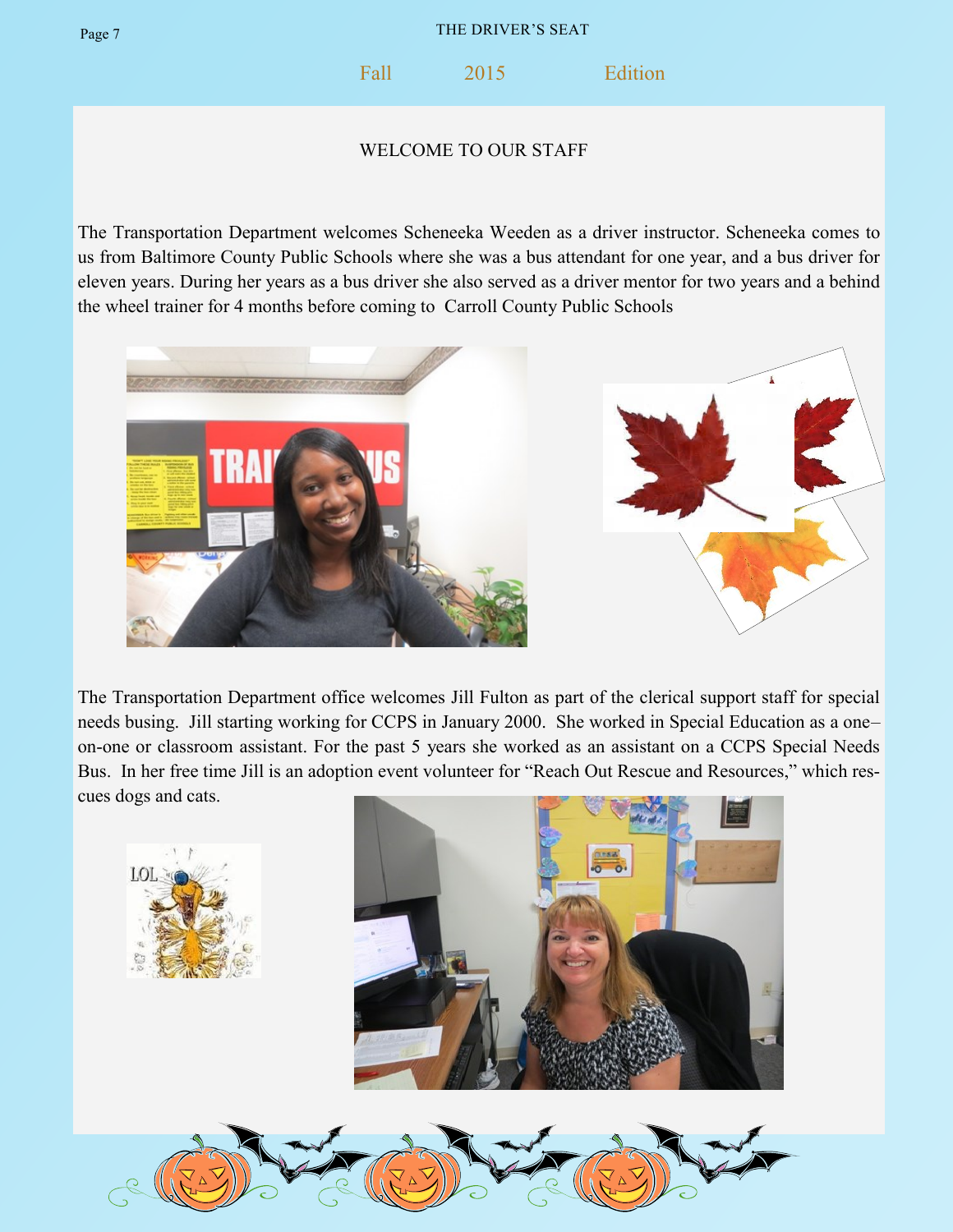Fall 2015 Edition

### WELCOME TO OUR STAFF

The Transportation Department welcomes Scheneeka Weeden as a driver instructor. Scheneeka comes to us from Baltimore County Public Schools where she was a bus attendant for one year, and a bus driver for eleven years. During her years as a bus driver she also served as a driver mentor for two years and a behind the wheel trainer for 4 months before coming to Carroll County Public Schools



The Transportation Department office welcomes Jill Fulton as part of the clerical support staff for special needs busing. Jill starting working for CCPS in January 2000. She worked in Special Education as a one– on-one or classroom assistant. For the past 5 years she worked as an assistant on a CCPS Special Needs Bus. In her free time Jill is an adoption event volunteer for "Reach Out Rescue and Resources," which rescues dogs and cats.